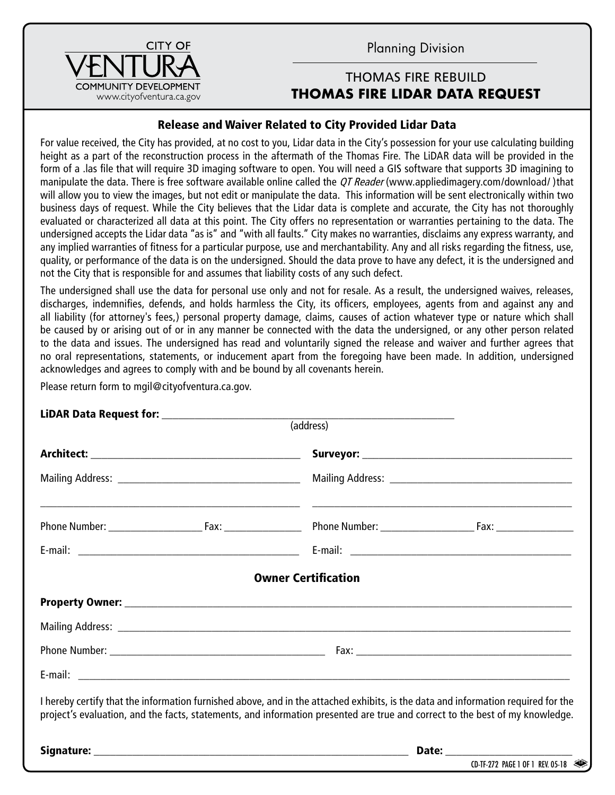Planning Division

## THOMAS FIRE REBUILD **THOMAS FIRE LIDAR DATA REQUEST**

## Release and Waiver Related to City Provided Lidar Data

For value received, the City has provided, at no cost to you, Lidar data in the City's possession for your use calculating building height as a part of the reconstruction process in the aftermath of the Thomas Fire. The LiDAR data will be provided in the form of a .las file that will require 3D imaging software to open. You will need a GIS software that supports 3D imagining to manipulate the data. There is free software available online called the QT Reader (www.appliedimagery.com/download/)that will allow you to view the images, but not edit or manipulate the data. This information will be sent electronically within two business days of request. While the City believes that the Lidar data is complete and accurate, the City has not thoroughly evaluated or characterized all data at this point. The City offers no representation or warranties pertaining to the data. The undersigned accepts the Lidar data "as is" and "with all faults." City makes no warranties, disclaims any express warranty, and any implied warranties of fitness for a particular purpose, use and merchantability. Any and all risks regarding the fitness, use, quality, or performance of the data is on the undersigned. Should the data prove to have any defect, it is the undersigned and not the City that is responsible for and assumes that liability costs of any such defect.

The undersigned shall use the data for personal use only and not for resale. As a result, the undersigned waives, releases, discharges, indemnifies, defends, and holds harmless the City, its officers, employees, agents from and against any and all liability (for attorney's fees,) personal property damage, claims, causes of action whatever type or nature which shall be caused by or arising out of or in any manner be connected with the data the undersigned, or any other person related to the data and issues. The undersigned has read and voluntarily signed the release and waiver and further agrees that no oral representations, statements, or inducement apart from the foregoing have been made. In addition, undersigned acknowledges and agrees to comply with and be bound by all covenants herein.

Please return form to mgil@cityofventura.ca.gov.

| (address)                                                                                                                                                                                                                                                         |
|-------------------------------------------------------------------------------------------------------------------------------------------------------------------------------------------------------------------------------------------------------------------|
|                                                                                                                                                                                                                                                                   |
|                                                                                                                                                                                                                                                                   |
|                                                                                                                                                                                                                                                                   |
|                                                                                                                                                                                                                                                                   |
| <b>Owner Certification</b>                                                                                                                                                                                                                                        |
|                                                                                                                                                                                                                                                                   |
|                                                                                                                                                                                                                                                                   |
|                                                                                                                                                                                                                                                                   |
|                                                                                                                                                                                                                                                                   |
| I hereby certify that the information furnished above, and in the attached exhibits, is the data and information required for the<br>project's evaluation, and the facts, statements, and information presented are true and correct to the best of my knowledge. |
|                                                                                                                                                                                                                                                                   |
| $CD-TF-272$ PAGE 1 OF 1 REV. 05-18                                                                                                                                                                                                                                |

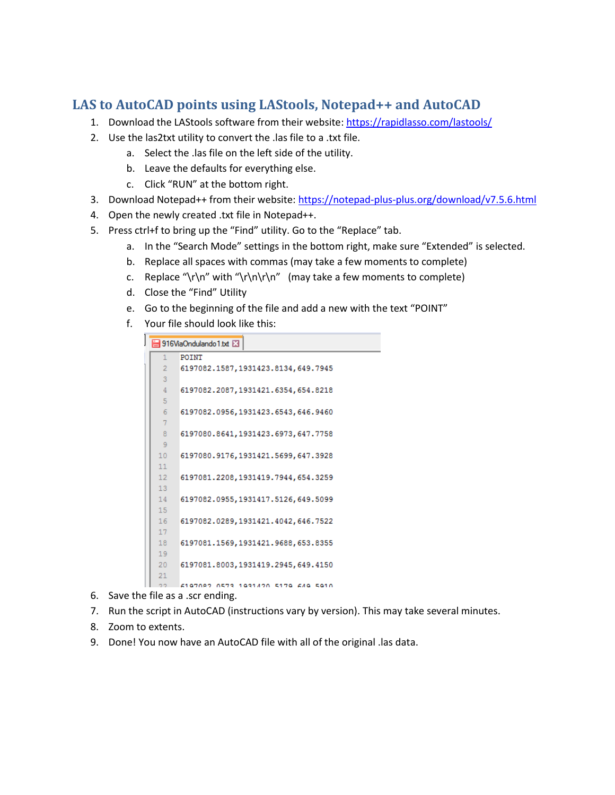## **LAS to AutoCAD points using LAStools, Notepad++ and AutoCAD**

- 1. Download the LAStools software from their website: <https://rapidlasso.com/lastools/>
- 2. Use the las2txt utility to convert the .las file to a .txt file.
	- a. Select the .las file on the left side of the utility.
	- b. Leave the defaults for everything else.
	- c. Click "RUN" at the bottom right.
- 3. Download Notepad++ from their website:<https://notepad-plus-plus.org/download/v7.5.6.html>
- 4. Open the newly created .txt file in Notepad++.
- 5. Press ctrl+f to bring up the "Find" utility. Go to the "Replace" tab.
	- a. In the "Search Mode" settings in the bottom right, make sure "Extended" is selected.
	- b. Replace all spaces with commas (may take a few moments to complete)
	- c. Replace "\r\n" with "\r\n\r\n" (may take a few moments to complete)
	- d. Close the "Find" Utility
	- e. Go to the beginning of the file and add a new with the text "POINT"
	- f. Your file should look like this:

```
916ViaOndulando1.bt
 1POINT
      6197082.1587,1931423.8134,649.7945
 \overline{3}6197082.2087,1931421.6354,654.8218
 \overline{5}6197082.0956,1931423.6543,646.9460
 6<sup>1</sup>\overline{7}\overline{8}6197080.8641,1931423.6973,647.7758
 \overline{9}10 6197080.9176,1931421.5699,647.3928
1112<sub>1</sub>6197081.2208,1931419.7944,654.3259
13<sub>1</sub>146197082.0955,1931417.5126,649.5099
15
16<sub>1</sub>6197082.0289,1931421.4042,646.7522
17<sub>1</sub>186197081.1569,1931421.9688,653.8355
19
      6197081.8003,1931419.2945,649.4150
20
21
```
- 6197082 0573 1931420 5179 649 5910  $22 -$
- 6. Save the file as a .scr ending.
- 7. Run the script in AutoCAD (instructions vary by version). This may take several minutes.
- 8. Zoom to extents.
- 9. Done! You now have an AutoCAD file with all of the original .las data.